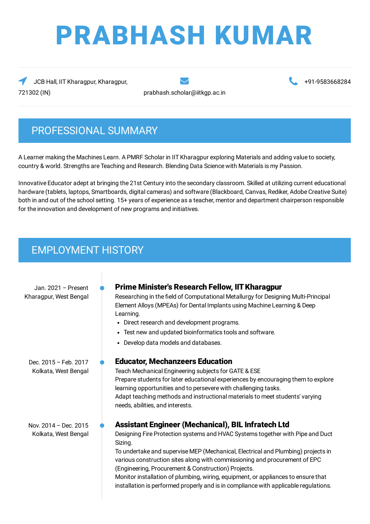# PRABHASH KUMAR

JCB Hall, IIT Kharagpur, Kharagpur, 721302 (IN) prabhash.scholar@iitkgp.ac.in

+91-9583668284

## PROFESSIONAL SUMMARY

A Learner making the Machines Learn. A PMRF Scholar in IIT Kharagpur exploring Materials and adding value to society, country & world. Strengths are Teaching and Research. Blending Data Science with Materials is my Passion.

Innovative Educator adept at bringing the 21st Century into the secondary classroom. Skilled at utilizing current educational hardware (tablets, laptops, Smartboards, digital cameras) and software (Blackboard, Canvas, Rediker, Adobe Creative Suite) both in and out of the school setting. 15+ years of experience as a teacher, mentor and department chairperson responsible for the innovation and development of new programs and initiatives.

## EMPLOYMENT HISTORY